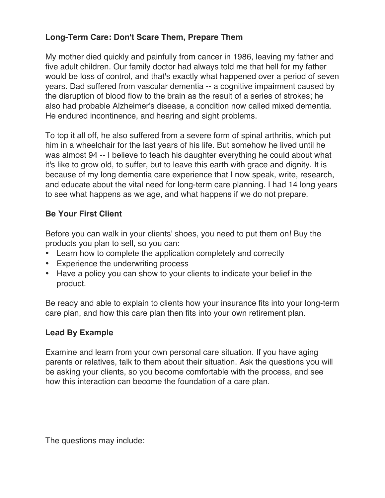# **Long-Term Care: Don't Scare Them, Prepare Them**

My mother died quickly and painfully from cancer in 1986, leaving my father and five adult children. Our family doctor had always told me that hell for my father would be loss of control, and that's exactly what happened over a period of seven years. Dad suffered from vascular dementia -- a cognitive impairment caused by the disruption of blood flow to the brain as the result of a series of strokes; he also had probable Alzheimer's disease, a condition now called mixed dementia. He endured incontinence, and hearing and sight problems.

To top it all off, he also suffered from a severe form of spinal arthritis, which put him in a wheelchair for the last years of his life. But somehow he lived until he was almost 94 -- I believe to teach his daughter everything he could about what it's like to grow old, to suffer, but to leave this earth with grace and dignity. It is because of my long dementia care experience that I now speak, write, research, and educate about the vital need for long-term care planning. I had 14 long years to see what happens as we age, and what happens if we do not prepare.

# **Be Your First Client**

Before you can walk in your clients' shoes, you need to put them on! Buy the products you plan to sell, so you can:

- Learn how to complete the application completely and correctly
- Experience the underwriting process
- Have a policy you can show to your clients to indicate your belief in the product.

Be ready and able to explain to clients how your insurance fits into your long-term care plan, and how this care plan then fits into your own retirement plan.

## **Lead By Example**

Examine and learn from your own personal care situation. If you have aging parents or relatives, talk to them about their situation. Ask the questions you will be asking your clients, so you become comfortable with the process, and see how this interaction can become the foundation of a care plan.

The questions may include: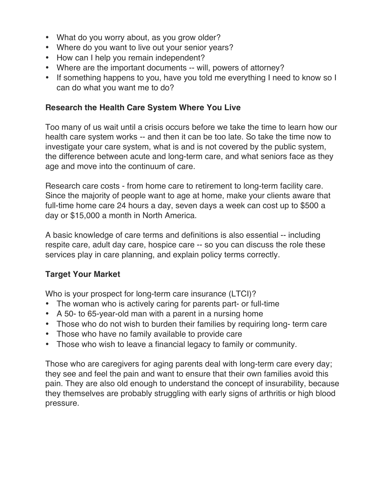- What do you worry about, as you grow older?
- Where do you want to live out your senior years?
- How can I help you remain independent?
- Where are the important documents -- will, powers of attorney?
- If something happens to you, have you told me everything I need to know so I can do what you want me to do?

#### **Research the Health Care System Where You Live**

Too many of us wait until a crisis occurs before we take the time to learn how our health care system works -- and then it can be too late. So take the time now to investigate your care system, what is and is not covered by the public system, the difference between acute and long-term care, and what seniors face as they age and move into the continuum of care.

Research care costs - from home care to retirement to long-term facility care. Since the majority of people want to age at home, make your clients aware that full-time home care 24 hours a day, seven days a week can cost up to \$500 a day or \$15,000 a month in North America.

A basic knowledge of care terms and definitions is also essential -- including respite care, adult day care, hospice care -- so you can discuss the role these services play in care planning, and explain policy terms correctly.

## **Target Your Market**

Who is your prospect for long-term care insurance (LTCI)?

- The woman who is actively caring for parents part- or full-time
- A 50- to 65-year-old man with a parent in a nursing home
- Those who do not wish to burden their families by requiring long- term care
- Those who have no family available to provide care
- Those who wish to leave a financial legacy to family or community.

Those who are caregivers for aging parents deal with long-term care every day; they see and feel the pain and want to ensure that their own families avoid this pain. They are also old enough to understand the concept of insurability, because they themselves are probably struggling with early signs of arthritis or high blood pressure.